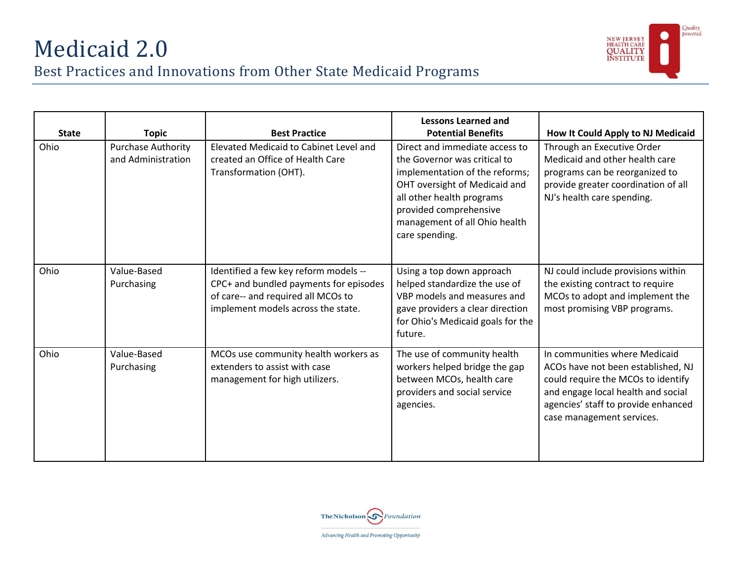

| <b>State</b> | <b>Topic</b>                                    | <b>Best Practice</b>                                                                                                                                        | <b>Lessons Learned and</b><br><b>Potential Benefits</b>                                                                                                                                                                                     | How It Could Apply to NJ Medicaid                                                                                                                                                                                   |
|--------------|-------------------------------------------------|-------------------------------------------------------------------------------------------------------------------------------------------------------------|---------------------------------------------------------------------------------------------------------------------------------------------------------------------------------------------------------------------------------------------|---------------------------------------------------------------------------------------------------------------------------------------------------------------------------------------------------------------------|
| Ohio         | <b>Purchase Authority</b><br>and Administration | Elevated Medicaid to Cabinet Level and<br>created an Office of Health Care<br>Transformation (OHT).                                                         | Direct and immediate access to<br>the Governor was critical to<br>implementation of the reforms;<br>OHT oversight of Medicaid and<br>all other health programs<br>provided comprehensive<br>management of all Ohio health<br>care spending. | Through an Executive Order<br>Medicaid and other health care<br>programs can be reorganized to<br>provide greater coordination of all<br>NJ's health care spending.                                                 |
| Ohio         | Value-Based<br>Purchasing                       | Identified a few key reform models --<br>CPC+ and bundled payments for episodes<br>of care-- and required all MCOs to<br>implement models across the state. | Using a top down approach<br>helped standardize the use of<br>VBP models and measures and<br>gave providers a clear direction<br>for Ohio's Medicaid goals for the<br>future.                                                               | NJ could include provisions within<br>the existing contract to require<br>MCOs to adopt and implement the<br>most promising VBP programs.                                                                           |
| Ohio         | Value-Based<br>Purchasing                       | MCOs use community health workers as<br>extenders to assist with case<br>management for high utilizers.                                                     | The use of community health<br>workers helped bridge the gap<br>between MCOs, health care<br>providers and social service<br>agencies.                                                                                                      | In communities where Medicaid<br>ACOs have not been established, NJ<br>could require the MCOs to identify<br>and engage local health and social<br>agencies' staff to provide enhanced<br>case management services. |

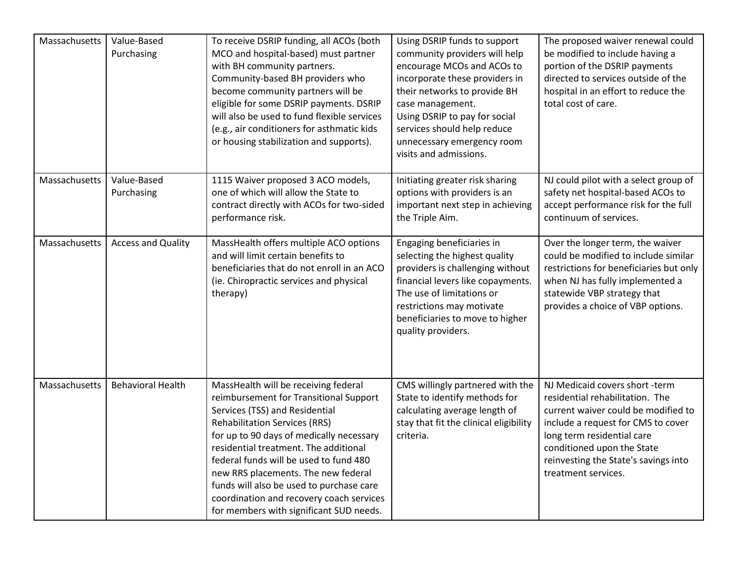| Massachusetts | Value-Based<br>Purchasing | To receive DSRIP funding, all ACOs (both<br>MCO and hospital-based) must partner<br>with BH community partners.<br>Community-based BH providers who<br>become community partners will be<br>eligible for some DSRIP payments. DSRIP<br>will also be used to fund flexible services<br>(e.g., air conditioners for asthmatic kids<br>or housing stabilization and supports).                                                                                       | Using DSRIP funds to support<br>community providers will help<br>encourage MCOs and ACOs to<br>incorporate these providers in<br>their networks to provide BH<br>case management.<br>Using DSRIP to pay for social<br>services should help reduce<br>unnecessary emergency room<br>visits and admissions. | The proposed waiver renewal could<br>be modified to include having a<br>portion of the DSRIP payments<br>directed to services outside of the<br>hospital in an effort to reduce the<br>total cost of care.                                                                |
|---------------|---------------------------|-------------------------------------------------------------------------------------------------------------------------------------------------------------------------------------------------------------------------------------------------------------------------------------------------------------------------------------------------------------------------------------------------------------------------------------------------------------------|-----------------------------------------------------------------------------------------------------------------------------------------------------------------------------------------------------------------------------------------------------------------------------------------------------------|---------------------------------------------------------------------------------------------------------------------------------------------------------------------------------------------------------------------------------------------------------------------------|
| Massachusetts | Value-Based<br>Purchasing | 1115 Waiver proposed 3 ACO models,<br>one of which will allow the State to<br>contract directly with ACOs for two-sided<br>performance risk.                                                                                                                                                                                                                                                                                                                      | Initiating greater risk sharing<br>options with providers is an<br>important next step in achieving<br>the Triple Aim.                                                                                                                                                                                    | NJ could pilot with a select group of<br>safety net hospital-based ACOs to<br>accept performance risk for the full<br>continuum of services.                                                                                                                              |
| Massachusetts | <b>Access and Quality</b> | MassHealth offers multiple ACO options<br>and will limit certain benefits to<br>beneficiaries that do not enroll in an ACO<br>(ie. Chiropractic services and physical<br>therapy)                                                                                                                                                                                                                                                                                 | Engaging beneficiaries in<br>selecting the highest quality<br>providers is challenging without<br>financial levers like copayments.<br>The use of limitations or<br>restrictions may motivate<br>beneficiaries to move to higher<br>quality providers.                                                    | Over the longer term, the waiver<br>could be modified to include similar<br>restrictions for beneficiaries but only<br>when NJ has fully implemented a<br>statewide VBP strategy that<br>provides a choice of VBP options.                                                |
| Massachusetts | <b>Behavioral Health</b>  | MassHealth will be receiving federal<br>reimbursement for Transitional Support<br>Services (TSS) and Residential<br><b>Rehabilitation Services (RRS)</b><br>for up to 90 days of medically necessary<br>residential treatment. The additional<br>federal funds will be used to fund 480<br>new RRS placements. The new federal<br>funds will also be used to purchase care<br>coordination and recovery coach services<br>for members with significant SUD needs. | CMS willingly partnered with the<br>State to identify methods for<br>calculating average length of<br>stay that fit the clinical eligibility<br>criteria.                                                                                                                                                 | NJ Medicaid covers short -term<br>residential rehabilitation. The<br>current waiver could be modified to<br>include a request for CMS to cover<br>long term residential care<br>conditioned upon the State<br>reinvesting the State's savings into<br>treatment services. |